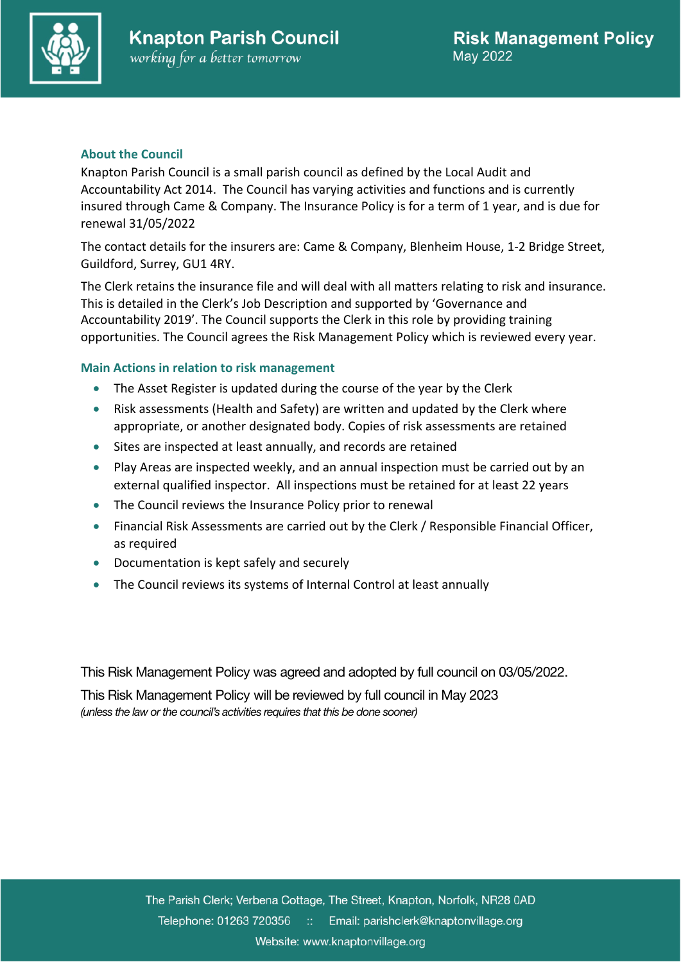

## **About the Council**

Knapton Parish Council is a small parish council as defined by the Local Audit and Accountability Act 2014. The Council has varying activities and functions and is currently insured through Came & Company. The Insurance Policy is for a term of 1 year, and is due for renewal 31/05/2022

The contact details for the insurers are: Came & Company, Blenheim House, 1-2 Bridge Street, Guildford, Surrey, GU1 4RY.

The Clerk retains the insurance file and will deal with all matters relating to risk and insurance. This is detailed in the Clerk's Job Description and supported by 'Governance and Accountability 2019'. The Council supports the Clerk in this role by providing training opportunities. The Council agrees the Risk Management Policy which is reviewed every year.

## **Main Actions in relation to risk management**

- The Asset Register is updated during the course of the year by the Clerk
- Risk assessments (Health and Safety) are written and updated by the Clerk where appropriate, or another designated body. Copies of risk assessments are retained
- Sites are inspected at least annually, and records are retained
- Play Areas are inspected weekly, and an annual inspection must be carried out by an external qualified inspector. All inspections must be retained for at least 22 years
- The Council reviews the Insurance Policy prior to renewal
- Financial Risk Assessments are carried out by the Clerk / Responsible Financial Officer, as required
- Documentation is kept safely and securely
- The Council reviews its systems of Internal Control at least annually

This Risk Management Policy was agreed and adopted by full council on 03/05/2022.

This Risk Management Policy will be reviewed by full council in May 2023 *(unless the law or the council's activities requires that this be done sooner)*